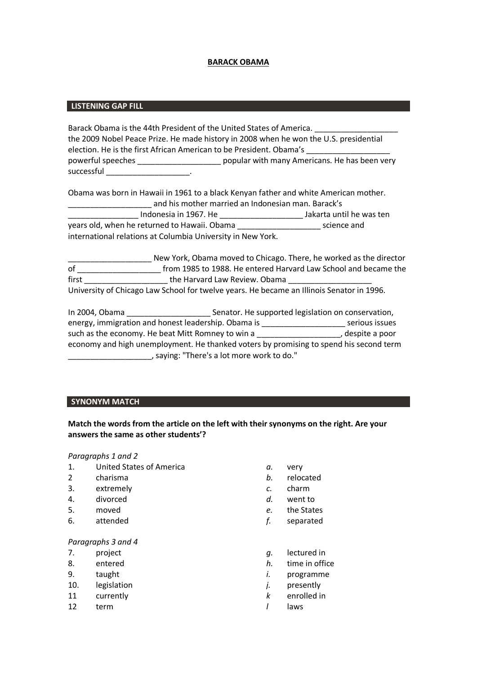# **BARACK OBAMA**

# **LISTENING GAP FILL**

| Barack Obama is the 44th President of the United States of America.                   |                                               |  |
|---------------------------------------------------------------------------------------|-----------------------------------------------|--|
| the 2009 Nobel Peace Prize. He made history in 2008 when he won the U.S. presidential |                                               |  |
| election. He is the first African American to be President. Obama's                   |                                               |  |
| powerful speeches                                                                     | popular with many Americans. He has been very |  |
| successful                                                                            |                                               |  |

| Obama was born in Hawaii in 1961 to a black Kenyan father and white American mother. |                          |  |
|--------------------------------------------------------------------------------------|--------------------------|--|
| and his mother married an Indonesian man. Barack's                                   |                          |  |
| Indonesia in 1967. He                                                                | Jakarta until he was ten |  |
| years old, when he returned to Hawaii. Obama                                         | science and              |  |
| international relations at Columbia University in New York.                          |                          |  |

|       | New York, Obama moved to Chicago. There, he worked as the director                        |
|-------|-------------------------------------------------------------------------------------------|
| οf    | from 1985 to 1988. He entered Harvard Law School and became the                           |
| first | the Harvard Law Review. Obama                                                             |
|       | University of Chicago Law School for twelve years. He became an Illinois Senator in 1996. |

| In 2004, Obama                                                                         | Senator. He supported legislation on conservation, |                  |
|----------------------------------------------------------------------------------------|----------------------------------------------------|------------------|
| energy, immigration and honest leadership. Obama is                                    |                                                    | serious issues   |
| such as the economy. He beat Mitt Romney to win a                                      |                                                    | , despite a poor |
| economy and high unemployment. He thanked voters by promising to spend his second term |                                                    |                  |
| saying: "There's a lot more work to do."                                               |                                                    |                  |

# **SYNONYM MATCH**

# **Match the words from the article on the left with their synonyms on the right. Are your answers the same as other students'?**

### *Paragraphs 1 and 2*

- 1. United States of America *a.* very
- 2 charisma *b.* relocated
- 3. extremely *c.* charm
- 4. divorced *d.* went to
- 
- 6. attended *f.* separated

# *Paragraphs 3 and 4*

- 
- 
- 
- 10. legislation *j.* presently
- 11 currently *k* enrolled in
- 12 term *l* laws
- 
- 
- 
- 
- 5. moved *e.* the States
	-
- 7. project *g.* lectured in
- 8. entered *h.* time in office
- 9. taught *i.* programme
	-
	-
	-